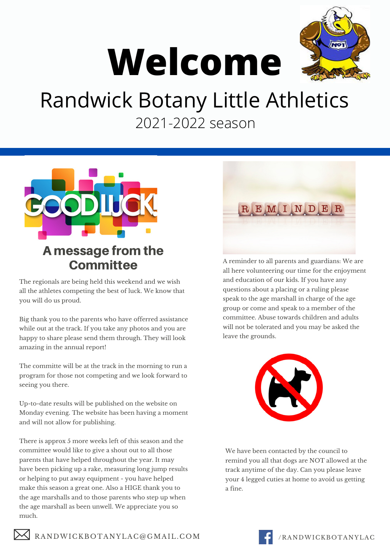

# **Welcome**

## Randwick Botany Little Athletics 2021-2022 season



#### A message from the **Committee**

The regionals are being held this weekend and we wish all the athletes competing the best of luck. We know that you will do us proud.

Big thank you to the parents who have offerred assistance while out at the track. If you take any photos and you are happy to share please send them through. They will look amazing in the annual report!

The committe will be at the track in the morning to run a program for those not competing and we look forward to seeing you there.

Up-to-date results will be published on the website on Monday evening. The website has been having a moment and will not allow for publishing.

There is approx 5 more weeks left of this season and the committee would like to give a shout out to all those parents that have helped throughout the year. It may have been picking up a rake, measuring long jump results or helping to put away equipment - you have helped make this season a great one. Also a HIGE thank you to the age marshalls and to those parents who step up when the age marshall as been unwell. We appreciate you so much.

 $\bowtie$  RANDWICKBOTANYLAC@GMAIL.COM



A reminder to all parents and guardians: We are all here volunteering our time for the enjoyment and education of our kids. If you have any questions about a placing or a ruling please speak to the age marshall in charge of the age group or come and speak to a member of the committee. Abuse towards children and adults will not be tolerated and you may be asked the leave the grounds.



We have been contacted by the council to remind you all that dogs are NOT allowed at the track anytime of the day. Can you please leave your 4 legged cuties at home to avoid us getting a fine.